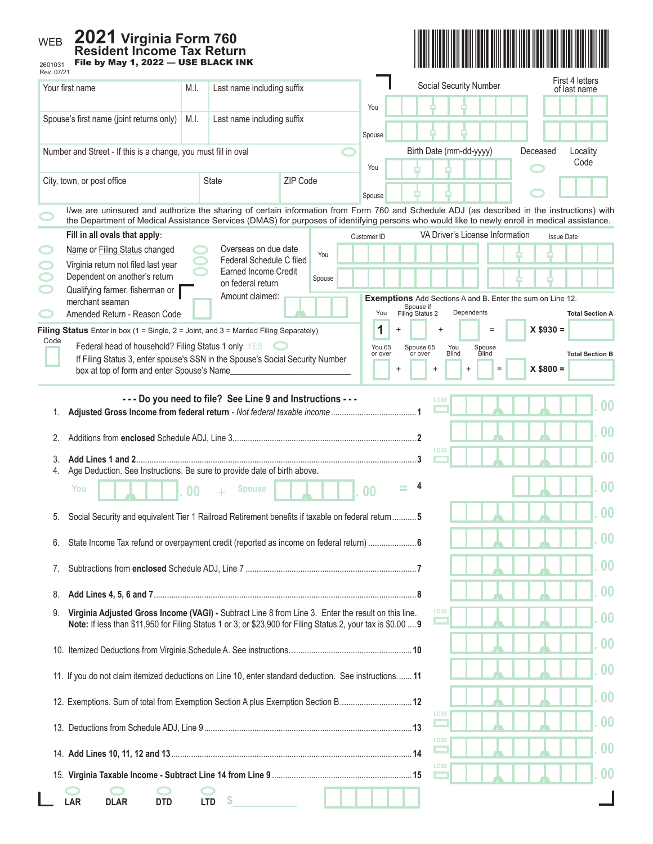## WEB



| 2601031<br>1 HG NY MAY 1, ∠V∠∠<br>Rev. 07/21                                                                                                                                                                                                                                                 |                |                                                          |          |             |                   |                              | Social Security Number |                                 |                                                                   | First 4 letters        |
|----------------------------------------------------------------------------------------------------------------------------------------------------------------------------------------------------------------------------------------------------------------------------------------------|----------------|----------------------------------------------------------|----------|-------------|-------------------|------------------------------|------------------------|---------------------------------|-------------------------------------------------------------------|------------------------|
| Your first name                                                                                                                                                                                                                                                                              | M.I.           | Last name including suffix                               |          |             |                   |                              |                        |                                 |                                                                   | of last name           |
| Spouse's first name (joint returns only)                                                                                                                                                                                                                                                     | M.I.           | Last name including suffix                               |          |             | You               |                              |                        |                                 |                                                                   |                        |
|                                                                                                                                                                                                                                                                                              |                |                                                          |          |             | Spouse            |                              |                        |                                 |                                                                   |                        |
| Number and Street - If this is a change, you must fill in oval                                                                                                                                                                                                                               |                |                                                          |          |             |                   | Birth Date (mm-dd-yyyy)      |                        |                                 | Deceased                                                          | Locality<br>Code       |
| City, town, or post office                                                                                                                                                                                                                                                                   |                | <b>State</b>                                             | ZIP Code |             | You               |                              |                        |                                 |                                                                   |                        |
|                                                                                                                                                                                                                                                                                              |                |                                                          |          |             | Spouse            |                              |                        |                                 |                                                                   |                        |
| I/we are uninsured and authorize the sharing of certain information from Form 760 and Schedule ADJ (as described in the instructions) with<br>the Department of Medical Assistance Services (DMAS) for purposes of identifying persons who would like to newly enroll in medical assistance. |                |                                                          |          |             |                   |                              |                        |                                 |                                                                   |                        |
| Fill in all ovals that apply:                                                                                                                                                                                                                                                                |                |                                                          |          | Customer ID |                   |                              |                        | VA Driver's License Information |                                                                   | <b>Issue Date</b>      |
| Name or Filing Status changed<br>Virginia return not filed last year                                                                                                                                                                                                                         |                | Overseas on due date<br>Federal Schedule C filed         | You      |             |                   |                              |                        |                                 |                                                                   |                        |
| Dependent on another's return                                                                                                                                                                                                                                                                |                | Earned Income Credit<br>on federal return                | Spouse   |             |                   |                              |                        |                                 |                                                                   |                        |
| Qualifying farmer, fisherman or<br>merchant seaman                                                                                                                                                                                                                                           |                | Amount claimed:                                          |          |             |                   |                              |                        |                                 | <b>Exemptions</b> Add Sections A and B. Enter the sum on Line 12. |                        |
| Amended Return - Reason Code                                                                                                                                                                                                                                                                 |                |                                                          |          |             | You               | Spouse if<br>Filing Status 2 | Dependents             |                                 |                                                                   | <b>Total Section A</b> |
| Filing Status Enter in box (1 = Single, $2 =$ Joint, and $3 =$ Married Filing Separately)<br>Code                                                                                                                                                                                            |                |                                                          |          |             | 1                 |                              | $\ddot{}$              |                                 | $X $930 =$                                                        |                        |
| Federal head of household? Filing Status 1 only YES<br>If Filing Status 3, enter spouse's SSN in the Spouse's Social Security Number                                                                                                                                                         |                |                                                          |          |             | You 65<br>or over | Spouse 65<br>or over         | You<br><b>Blind</b>    | Spouse<br>Blind                 |                                                                   | <b>Total Section B</b> |
| box at top of form and enter Spouse's Name                                                                                                                                                                                                                                                   |                |                                                          |          |             | $\overline{1}$    | $\ddot{}$                    | $\ddot{}$              | $=$                             | $X$ \$800 =                                                       |                        |
|                                                                                                                                                                                                                                                                                              |                | --- Do you need to file? See Line 9 and Instructions --- |          |             |                   |                              | LOSS                   |                                 |                                                                   |                        |
| 1.                                                                                                                                                                                                                                                                                           |                |                                                          |          |             |                   |                              |                        |                                 |                                                                   | 0 <sup>0</sup>         |
| 2.                                                                                                                                                                                                                                                                                           |                |                                                          |          |             |                   |                              |                        |                                 |                                                                   | 0 <sup>0</sup>         |
| Add Lines 1 and 2.<br>3.                                                                                                                                                                                                                                                                     |                |                                                          |          |             |                   |                              | LOSS                   |                                 |                                                                   | 0 <sup>0</sup>         |
| Age Deduction. See Instructions. Be sure to provide date of birth above.<br>4.                                                                                                                                                                                                               |                |                                                          |          |             |                   |                              |                        |                                 |                                                                   |                        |
| You                                                                                                                                                                                                                                                                                          | 0 <sup>0</sup> | <b>Spouse</b>                                            |          |             | 0 <sub>0</sub>    | $\equiv$                     |                        |                                 |                                                                   | 0 <sub>0</sub>         |
| Social Security and equivalent Tier 1 Railroad Retirement benefits if taxable on federal return 5<br>5.                                                                                                                                                                                      |                |                                                          |          |             |                   |                              |                        |                                 |                                                                   | 0 <sub>0</sub>         |
| State Income Tax refund or overpayment credit (reported as income on federal return)  6                                                                                                                                                                                                      |                |                                                          |          |             |                   |                              |                        |                                 |                                                                   |                        |
|                                                                                                                                                                                                                                                                                              |                |                                                          |          |             |                   |                              |                        |                                 |                                                                   |                        |
| 7.                                                                                                                                                                                                                                                                                           |                |                                                          |          |             |                   |                              |                        |                                 |                                                                   | 0 <sub>0</sub>         |
| 8.                                                                                                                                                                                                                                                                                           |                |                                                          |          |             |                   |                              |                        |                                 |                                                                   | 0 <sub>0</sub>         |
| Virginia Adjusted Gross Income (VAGI) - Subtract Line 8 from Line 3. Enter the result on this line.<br>9.                                                                                                                                                                                    |                |                                                          |          |             |                   |                              | LOSS                   |                                 |                                                                   | 0 <sub>0</sub>         |
| Note: If less than \$11,950 for Filing Status 1 or 3; or \$23,900 for Filing Status 2, your tax is \$0.00  9                                                                                                                                                                                 |                |                                                          |          |             |                   |                              |                        |                                 |                                                                   |                        |
|                                                                                                                                                                                                                                                                                              |                |                                                          |          |             |                   |                              |                        |                                 |                                                                   | 0 <sub>0</sub>         |
| 11. If you do not claim itemized deductions on Line 10, enter standard deduction. See instructions 11                                                                                                                                                                                        |                |                                                          |          |             |                   |                              |                        |                                 |                                                                   | 0 <sub>0</sub>         |
|                                                                                                                                                                                                                                                                                              |                |                                                          |          |             |                   |                              |                        |                                 |                                                                   | 00                     |
| 12. Exemptions. Sum of total from Exemption Section A plus Exemption Section B12                                                                                                                                                                                                             |                |                                                          |          |             |                   | LOSS                         |                        |                                 |                                                                   |                        |
|                                                                                                                                                                                                                                                                                              |                |                                                          |          |             |                   |                              |                        |                                 |                                                                   | 0 <sub>0</sub>         |
|                                                                                                                                                                                                                                                                                              |                |                                                          |          |             |                   | LOSS                         |                        |                                 |                                                                   | 0 <sub>0</sub>         |
|                                                                                                                                                                                                                                                                                              |                |                                                          |          |             |                   |                              | LOSS                   |                                 |                                                                   | 0 <sub>0</sub>         |
|                                                                                                                                                                                                                                                                                              |                |                                                          |          |             |                   |                              |                        |                                 |                                                                   |                        |